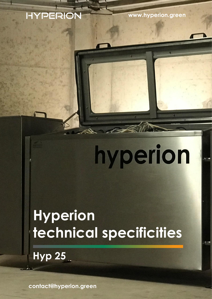#### <sup>A</sup>**numains .eu [www.hyperion.green](http://www.hyperion.green/)**

# hyperion

## **Hyperion technical specificities**

**Hyp 25**

**[contact@hyperion.green](mailto:contact@hyperion.green)**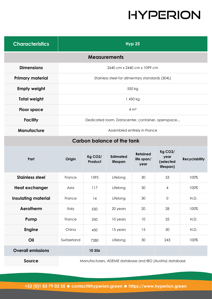| <b>Characteristics</b>     | <b>Hyp 25</b>                                    |  |  |  |  |
|----------------------------|--------------------------------------------------|--|--|--|--|
| <b>Measurements</b>        |                                                  |  |  |  |  |
| <b>Dimensions</b>          | 2640 cm x 2440 cm x 1099 cm                      |  |  |  |  |
| <b>Primary material</b>    | Stainless steel for alimentary standards (304L)  |  |  |  |  |
| <b>Empty weight</b>        | 550 kg                                           |  |  |  |  |
| <b>Total weight</b>        | 1450 kg                                          |  |  |  |  |
| <b>Floor space</b>         | $4 \text{ m}^2$                                  |  |  |  |  |
| <b>Facility</b>            | Dedicated room, Datacenter, container, openspace |  |  |  |  |
| <b>Manufacture</b>         | Assembled entirely in France                     |  |  |  |  |
| Carbon balance of the tank |                                                  |  |  |  |  |
|                            | $V - Q$                                          |  |  |  |  |

| Part                       | Origin                                                   | Kg CO <sub>2</sub> /<br>Product | <b>Estimated</b><br>lifespan | <b>Retained</b><br>life span/<br>year | Kg CO <sub>2</sub> /<br>year<br>(selected<br>lifespan) | <b>Recyclability</b> |
|----------------------------|----------------------------------------------------------|---------------------------------|------------------------------|---------------------------------------|--------------------------------------------------------|----------------------|
| <b>Stainless steel</b>     | France                                                   | 1595                            | Lifelong                     | 30                                    | 53                                                     | 100%                 |
| <b>Heat exchanger</b>      | Asia                                                     | 117                             | Lifelong                     | 30                                    | 4                                                      | 100%                 |
| <b>Insulating material</b> | France                                                   | 14                              | Lifelong                     | 30                                    | $\mathbf 0$                                            | N.D.                 |
| Aerotherm                  | <b>Italy</b>                                             | 550                             | 20 years                     | 20                                    | 28                                                     | 100%                 |
| Pump                       | France                                                   | 350                             | 10 years                     | 10                                    | 35                                                     | N.D.                 |
| <b>Engine</b>              | China                                                    | 450                             | 15 years                     | 15                                    | 30                                                     | N.D.                 |
| Oil                        | Switzerland                                              | 7280                            | Lifelong                     | 30                                    | 243                                                    | 100%                 |
| <b>Overall emissions</b>   |                                                          | 10 356                          |                              |                                       |                                                        |                      |
| Source                     | Manufacturers, ADEME database and IBO (Austria) database |                                 |                              |                                       |                                                        |                      |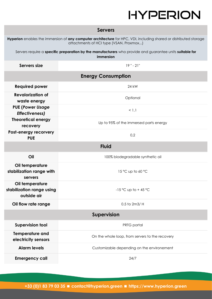| <b>Servers</b> |
|----------------|
|----------------|

| Hyperion enables the immersion of any computer architecture for HPC, VDI, including shared or distributed storage<br>attachments of HCI type (VSAN, Proxmox) |                                                 |  |  |  |  |  |
|--------------------------------------------------------------------------------------------------------------------------------------------------------------|-------------------------------------------------|--|--|--|--|--|
| Servers require a specific preparation by the manufacturers who provide and guarantee units suitable for<br>immersion                                        |                                                 |  |  |  |  |  |
| Servers size                                                                                                                                                 | $19" - 21"$                                     |  |  |  |  |  |
| <b>Energy Consumption</b>                                                                                                                                    |                                                 |  |  |  |  |  |
| <b>Required power</b>                                                                                                                                        | 24 kW                                           |  |  |  |  |  |
| <b>Revalorization of</b><br>waste energy                                                                                                                     | Optional                                        |  |  |  |  |  |
| <b>PUE (Power Usage</b><br><b>Effectiveness)</b>                                                                                                             | < 1,1                                           |  |  |  |  |  |
| <b>Theoretical energy</b><br>recovery                                                                                                                        | Up to 95% of the immersed parts energy          |  |  |  |  |  |
| Post-energy recorvery<br><b>PUE</b>                                                                                                                          | 0,2                                             |  |  |  |  |  |
| <b>Fluid</b>                                                                                                                                                 |                                                 |  |  |  |  |  |
| Oil                                                                                                                                                          | 100% biodegradable synthetic oil                |  |  |  |  |  |
| Oil temperature<br>stabilization range with<br>servers                                                                                                       | 15 °C up to 60 °C                               |  |  |  |  |  |
| Oil temperature<br>stabilization range using<br>outside air                                                                                                  | $-15$ °C up to +45 °C                           |  |  |  |  |  |
| Oil flow rate range                                                                                                                                          | 0.5 to 2m3/ H                                   |  |  |  |  |  |
| <b>Supervision</b>                                                                                                                                           |                                                 |  |  |  |  |  |
| <b>Supervision tool</b>                                                                                                                                      | PRTG portal                                     |  |  |  |  |  |
| <b>Temperature and</b><br>electricity sensors                                                                                                                | On the whole loop, from servers to the recovery |  |  |  |  |  |
| <b>Alarm levels</b>                                                                                                                                          | Customizable depending on the environement      |  |  |  |  |  |
| <b>Emergency call</b>                                                                                                                                        | 24/7                                            |  |  |  |  |  |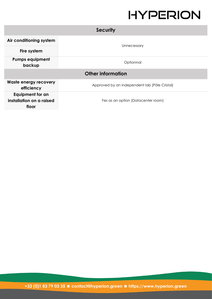| <b>Security</b>                                       |                                               |  |  |  |  |
|-------------------------------------------------------|-----------------------------------------------|--|--|--|--|
| Air conditioning system                               |                                               |  |  |  |  |
| Fire system                                           | Unnecessary                                   |  |  |  |  |
| <b>Pumps equipment</b><br>backup                      | Optionnal                                     |  |  |  |  |
| <b>Other information</b>                              |                                               |  |  |  |  |
| <b>Waste energy recovery</b><br>efficiency            | Approved by an independent lab (Pôle Cristal) |  |  |  |  |
| Equipment for an<br>installation on a raised<br>floor | Yes as an option (Datacenter room)            |  |  |  |  |